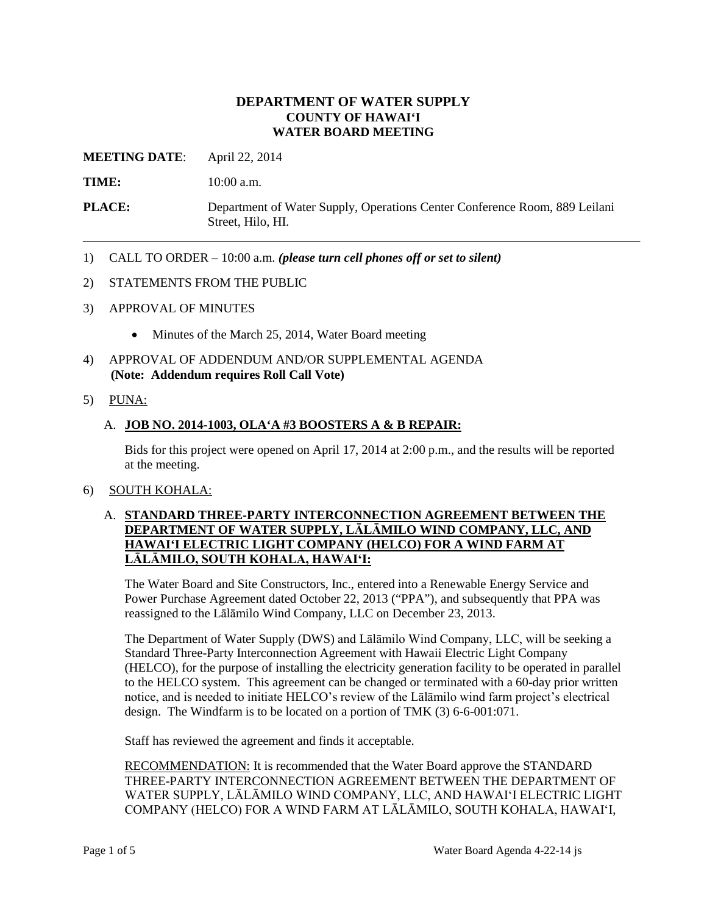## **DEPARTMENT OF WATER SUPPLY COUNTY OF HAWAI'I WATER BOARD MEETING**

**MEETING DATE**: April 22, 2014

**TIME:** 10:00 a.m.

**PLACE:** Department of Water Supply, Operations Center Conference Room, 889 Leilani Street, Hilo, HI.

- 1) CALL TO ORDER 10:00 a.m. *(please turn cell phones off or set to silent)*
- 2) STATEMENTS FROM THE PUBLIC
- 3) APPROVAL OF MINUTES
	- Minutes of the March 25, 2014, Water Board meeting
- 4) APPROVAL OF ADDENDUM AND/OR SUPPLEMENTAL AGENDA **(Note: Addendum requires Roll Call Vote)**
- 5) PUNA:

# A. **JOB NO. 2014-1003, OLA'A #3 BOOSTERS A & B REPAIR:**

Bids for this project were opened on April 17, 2014 at 2:00 p.m., and the results will be reported at the meeting.

#### 6) SOUTH KOHALA:

#### A. **STANDARD THREE-PARTY INTERCONNECTION AGREEMENT BETWEEN THE DEPARTMENT OF WATER SUPPLY, LĀLĀMILO WIND COMPANY, LLC, AND HAWAI'I ELECTRIC LIGHT COMPANY (HELCO) FOR A WIND FARM AT LĀLĀMILO, SOUTH KOHALA, HAWAI'I:**

The Water Board and Site Constructors, Inc., entered into a Renewable Energy Service and Power Purchase Agreement dated October 22, 2013 ("PPA"), and subsequently that PPA was reassigned to the Lālāmilo Wind Company, LLC on December 23, 2013.

The Department of Water Supply (DWS) and Lālāmilo Wind Company, LLC, will be seeking a Standard Three-Party Interconnection Agreement with Hawaii Electric Light Company (HELCO), for the purpose of installing the electricity generation facility to be operated in parallel to the HELCO system. This agreement can be changed or terminated with a 60-day prior written notice, and is needed to initiate HELCO's review of the Lālāmilo wind farm project's electrical design. The Windfarm is to be located on a portion of TMK (3) 6-6-001:071.

Staff has reviewed the agreement and finds it acceptable.

RECOMMENDATION: It is recommended that the Water Board approve the STANDARD THREE-PARTY INTERCONNECTION AGREEMENT BETWEEN THE DEPARTMENT OF WATER SUPPLY, LĀLĀMILO WIND COMPANY, LLC, AND HAWAI'I ELECTRIC LIGHT COMPANY (HELCO) FOR A WIND FARM AT LĀLĀMILO, SOUTH KOHALA, HAWAI'I,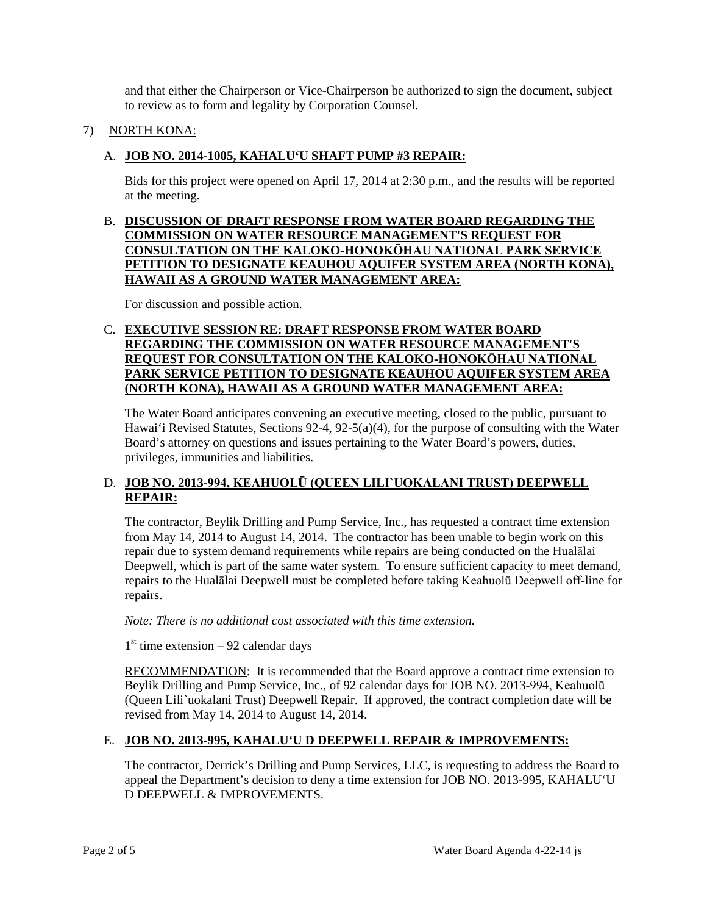and that either the Chairperson or Vice-Chairperson be authorized to sign the document, subject to review as to form and legality by Corporation Counsel.

## 7) NORTH KONA:

## A. **JOB NO. 2014-1005, KAHALU'U SHAFT PUMP #3 REPAIR:**

Bids for this project were opened on April 17, 2014 at 2:30 p.m., and the results will be reported at the meeting.

B. **DISCUSSION OF DRAFT RESPONSE FROM WATER BOARD REGARDING THE COMMISSION ON WATER RESOURCE MANAGEMENT'S REQUEST FOR CONSULTATION ON THE KALOKO-HONOKŌHAU NATIONAL PARK SERVICE PETITION TO DESIGNATE KEAUHOU AQUIFER SYSTEM AREA (NORTH KONA), HAWAII AS A GROUND WATER MANAGEMENT AREA:**

For discussion and possible action.

#### C. **EXECUTIVE SESSION RE: DRAFT RESPONSE FROM WATER BOARD REGARDING THE COMMISSION ON WATER RESOURCE MANAGEMENT'S REQUEST FOR CONSULTATION ON THE KALOKO-HONOKŌHAU NATIONAL PARK SERVICE PETITION TO DESIGNATE KEAUHOU AQUIFER SYSTEM AREA (NORTH KONA), HAWAII AS A GROUND WATER MANAGEMENT AREA:**

The Water Board anticipates convening an executive meeting, closed to the public, pursuant to Hawai'i Revised Statutes, Sections 92-4, 92-5(a)(4), for the purpose of consulting with the Water Board's attorney on questions and issues pertaining to the Water Board's powers, duties, privileges, immunities and liabilities.

## D. **JOB NO. 2013-994, KEAHUOLŪ (QUEEN LILI`UOKALANI TRUST) DEEPWELL REPAIR:**

The contractor, Beylik Drilling and Pump Service, Inc., has requested a contract time extension from May 14, 2014 to August 14, 2014. The contractor has been unable to begin work on this repair due to system demand requirements while repairs are being conducted on the Hualālai Deepwell, which is part of the same water system. To ensure sufficient capacity to meet demand, repairs to the Hualālai Deepwell must be completed before taking Keahuolū Deepwell off-line for repairs.

*Note: There is no additional cost associated with this time extension.*

 $1<sup>st</sup>$  time extension – 92 calendar days

RECOMMENDATION: It is recommended that the Board approve a contract time extension to Beylik Drilling and Pump Service, Inc., of 92 calendar days for JOB NO. 2013-994, Keahuolū (Queen Lili`uokalani Trust) Deepwell Repair. If approved, the contract completion date will be revised from May 14, 2014 to August 14, 2014.

# E. **JOB NO. 2013-995, KAHALU'U D DEEPWELL REPAIR & IMPROVEMENTS:**

The contractor, Derrick's Drilling and Pump Services, LLC, is requesting to address the Board to appeal the Department's decision to deny a time extension for JOB NO. 2013-995, KAHALU'U D DEEPWELL & IMPROVEMENTS.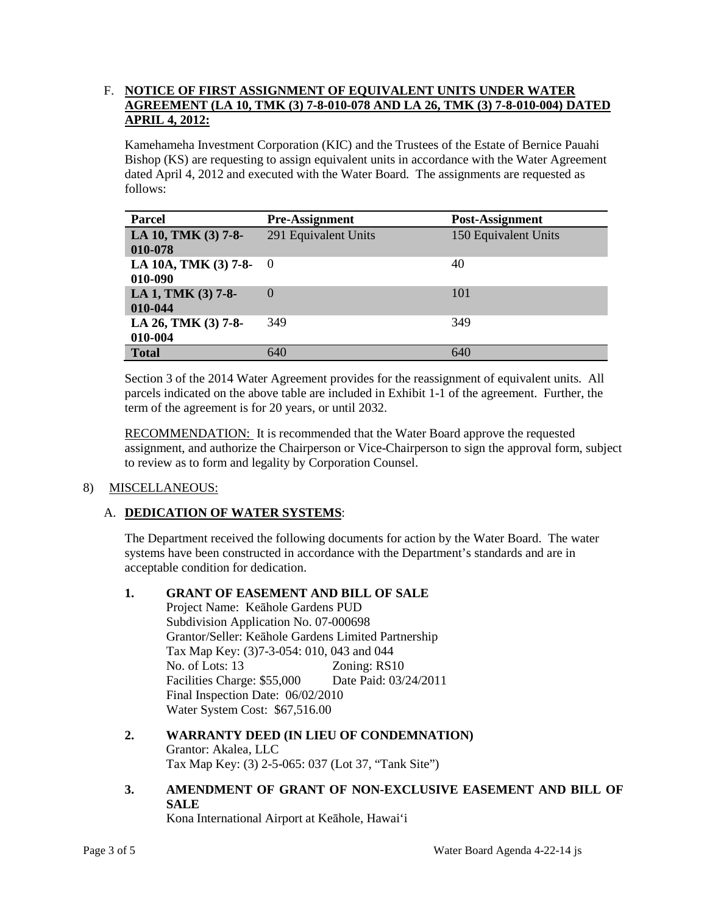## F. **NOTICE OF FIRST ASSIGNMENT OF EQUIVALENT UNITS UNDER WATER AGREEMENT (LA 10, TMK (3) 7-8-010-078 AND LA 26, TMK (3) 7-8-010-004) DATED APRIL 4, 2012:**

Kamehameha Investment Corporation (KIC) and the Trustees of the Estate of Bernice Pauahi Bishop (KS) are requesting to assign equivalent units in accordance with the Water Agreement dated April 4, 2012 and executed with the Water Board. The assignments are requested as follows:

| <b>Parcel</b>                     | <b>Pre-Assignment</b> | Post-Assignment      |
|-----------------------------------|-----------------------|----------------------|
| LA 10, TMK (3) 7-8-<br>010-078    | 291 Equivalent Units  | 150 Equivalent Units |
| LA 10A, TMK (3) 7-8- 0<br>010-090 |                       | 40                   |
| LA 1, TMK (3) 7-8-<br>010-044     | $\Omega$              | 101                  |
| LA 26, TMK (3) 7-8-<br>010-004    | 349                   | 349                  |
| <b>Total</b>                      | 640                   | 640                  |

Section 3 of the 2014 Water Agreement provides for the reassignment of equivalent units. All parcels indicated on the above table are included in Exhibit 1-1 of the agreement. Further, the term of the agreement is for 20 years, or until 2032.

RECOMMENDATION: It is recommended that the Water Board approve the requested assignment, and authorize the Chairperson or Vice-Chairperson to sign the approval form, subject to review as to form and legality by Corporation Counsel.

# 8) MISCELLANEOUS:

# A. **DEDICATION OF WATER SYSTEMS**:

The Department received the following documents for action by the Water Board. The water systems have been constructed in accordance with the Department's standards and are in acceptable condition for dedication.

## **1. GRANT OF EASEMENT AND BILL OF SALE**

Project Name: Keāhole Gardens PUD Subdivision Application No. 07-000698 Grantor/Seller: Keāhole Gardens Limited Partnership Tax Map Key: (3)7-3-054: 010, 043 and 044 No. of Lots: 13 Zoning: RS10 Facilities Charge: \$55,000 Date Paid: 03/24/2011 Final Inspection Date: 06/02/2010 Water System Cost: \$67,516.00

- **2. WARRANTY DEED (IN LIEU OF CONDEMNATION)** Grantor: Akalea, LLC Tax Map Key: (3) 2-5-065: 037 (Lot 37, "Tank Site")
- **3. AMENDMENT OF GRANT OF NON-EXCLUSIVE EASEMENT AND BILL OF SALE**

Kona International Airport at Keāhole, Hawai'i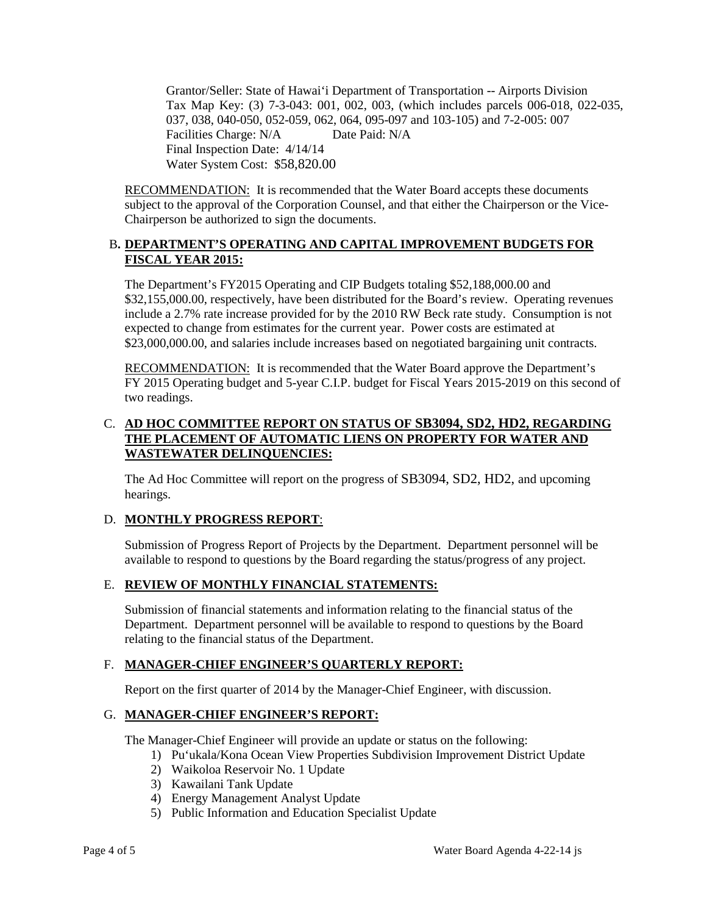Grantor/Seller: State of Hawai'i Department of Transportation -- Airports Division Tax Map Key: (3) 7-3-043: 001, 002, 003, (which includes parcels 006-018, 022-035, 037, 038, 040-050, 052-059, 062, 064, 095-097 and 103-105) and 7-2-005: 007 Facilities Charge: N/A Date Paid: N/A Final Inspection Date: 4/14/14 Water System Cost: \$58,820.00

RECOMMENDATION: It is recommended that the Water Board accepts these documents subject to the approval of the Corporation Counsel, and that either the Chairperson or the Vice-Chairperson be authorized to sign the documents.

## B**. DEPARTMENT'S OPERATING AND CAPITAL IMPROVEMENT BUDGETS FOR FISCAL YEAR 2015:**

The Department's FY2015 Operating and CIP Budgets totaling \$52,188,000.00 and \$32,155,000.00, respectively, have been distributed for the Board's review. Operating revenues include a 2.7% rate increase provided for by the 2010 RW Beck rate study. Consumption is not expected to change from estimates for the current year. Power costs are estimated at \$23,000,000.00, and salaries include increases based on negotiated bargaining unit contracts.

**RECOMMENDATION:** It is recommended that the Water Board approve the Department's FY 2015 Operating budget and 5-year C.I.P. budget for Fiscal Years 2015-2019 on this second of two readings.

# C. **AD HOC COMMITTEE REPORT ON STATUS OF SB3094, SD2, HD2, REGARDING THE PLACEMENT OF AUTOMATIC LIENS ON PROPERTY FOR WATER AND WASTEWATER DELINQUENCIES:**

The Ad Hoc Committee will report on the progress of SB3094, SD2, HD2, and upcoming hearings.

# D. **MONTHLY PROGRESS REPORT**:

Submission of Progress Report of Projects by the Department. Department personnel will be available to respond to questions by the Board regarding the status/progress of any project.

# E. **REVIEW OF MONTHLY FINANCIAL STATEMENTS:**

Submission of financial statements and information relating to the financial status of the Department. Department personnel will be available to respond to questions by the Board relating to the financial status of the Department.

#### F. **MANAGER-CHIEF ENGINEER'S QUARTERLY REPORT:**

Report on the first quarter of 2014 by the Manager-Chief Engineer, with discussion.

# G. **MANAGER-CHIEF ENGINEER'S REPORT:**

The Manager-Chief Engineer will provide an update or status on the following:

- 1) Pu'ukala/Kona Ocean View Properties Subdivision Improvement District Update
- 2) Waikoloa Reservoir No. 1 Update
- 3) Kawailani Tank Update
- 4) Energy Management Analyst Update
- 5) Public Information and Education Specialist Update